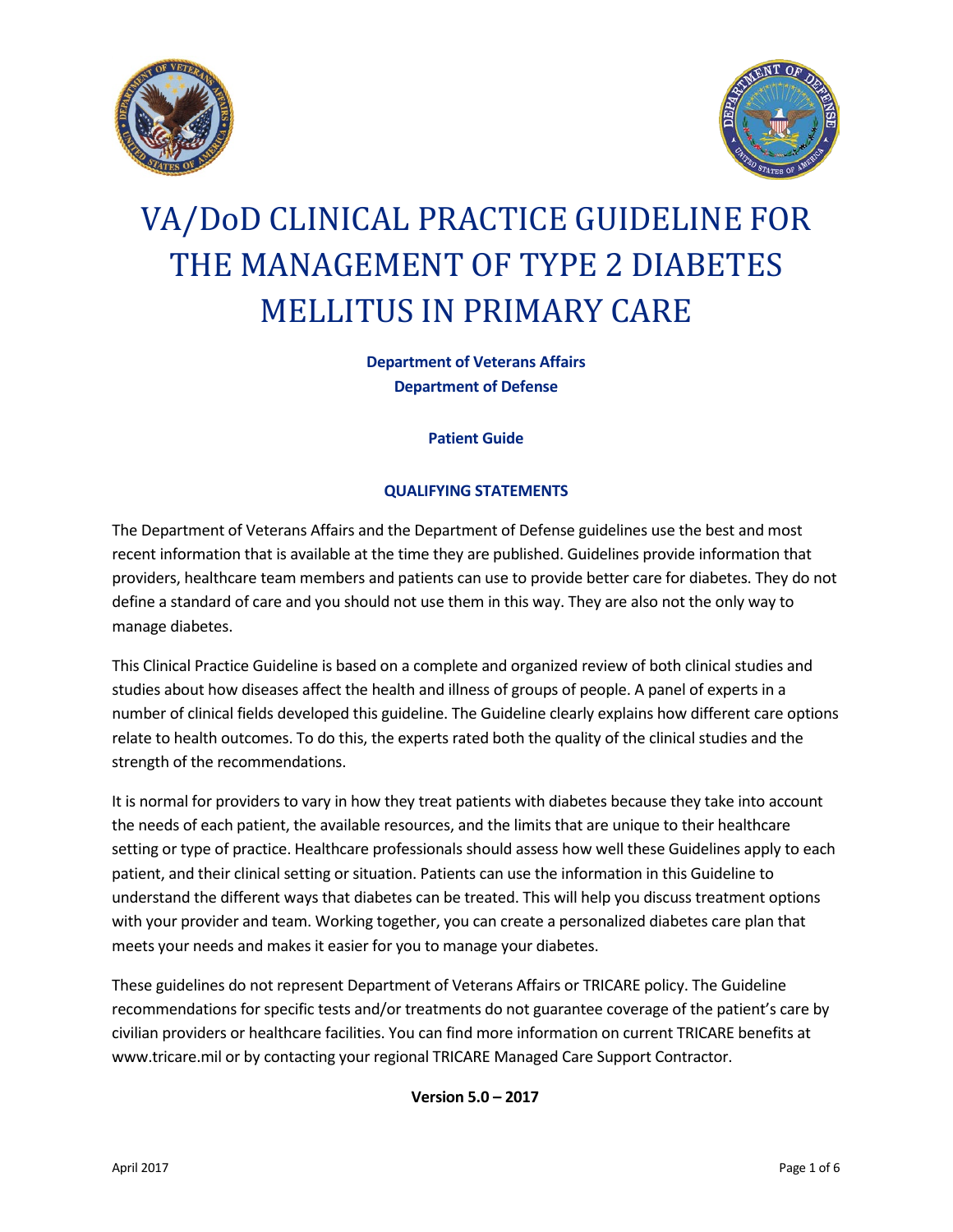



# VA/DoD CLINICAL PRACTICE GUIDELINE FOR THE MANAGEMENT OF TYPE 2 DIABETES MELLITUS IN PRIMARY CARE

**Department of Veterans Affairs Department of Defense**

**Patient Guide**

#### **QUALIFYING STATEMENTS**

The Department of Veterans Affairs and the Department of Defense guidelines use the best and most recent information that is available at the time they are published. Guidelines provide information that providers, healthcare team members and patients can use to provide better care for diabetes. They do not define a standard of care and you should not use them in this way. They are also not the only way to manage diabetes.

This Clinical Practice Guideline is based on a complete and organized review of both clinical studies and studies about how diseases affect the health and illness of groups of people. A panel of experts in a number of clinical fields developed this guideline. The Guideline clearly explains how different care options relate to health outcomes. To do this, the experts rated both the quality of the clinical studies and the strength of the recommendations.

It is normal for providers to vary in how they treat patients with diabetes because they take into account the needs of each patient, the available resources, and the limits that are unique to their healthcare setting or type of practice. Healthcare professionals should assess how well these Guidelines apply to each patient, and their clinical setting or situation. Patients can use the information in this Guideline to understand the different ways that diabetes can be treated. This will help you discuss treatment options with your provider and team. Working together, you can create a personalized diabetes care plan that meets your needs and makes it easier for you to manage your diabetes.

These guidelines do not represent Department of Veterans Affairs or TRICARE policy. The Guideline recommendations for specific tests and/or treatments do not guarantee coverage of the patient's care by civilian providers or healthcare facilities. You can find more information on current TRICARE benefits at www.tricare.mil or by contacting your regional TRICARE Managed Care Support Contractor.

**Version 5.0 – 2017**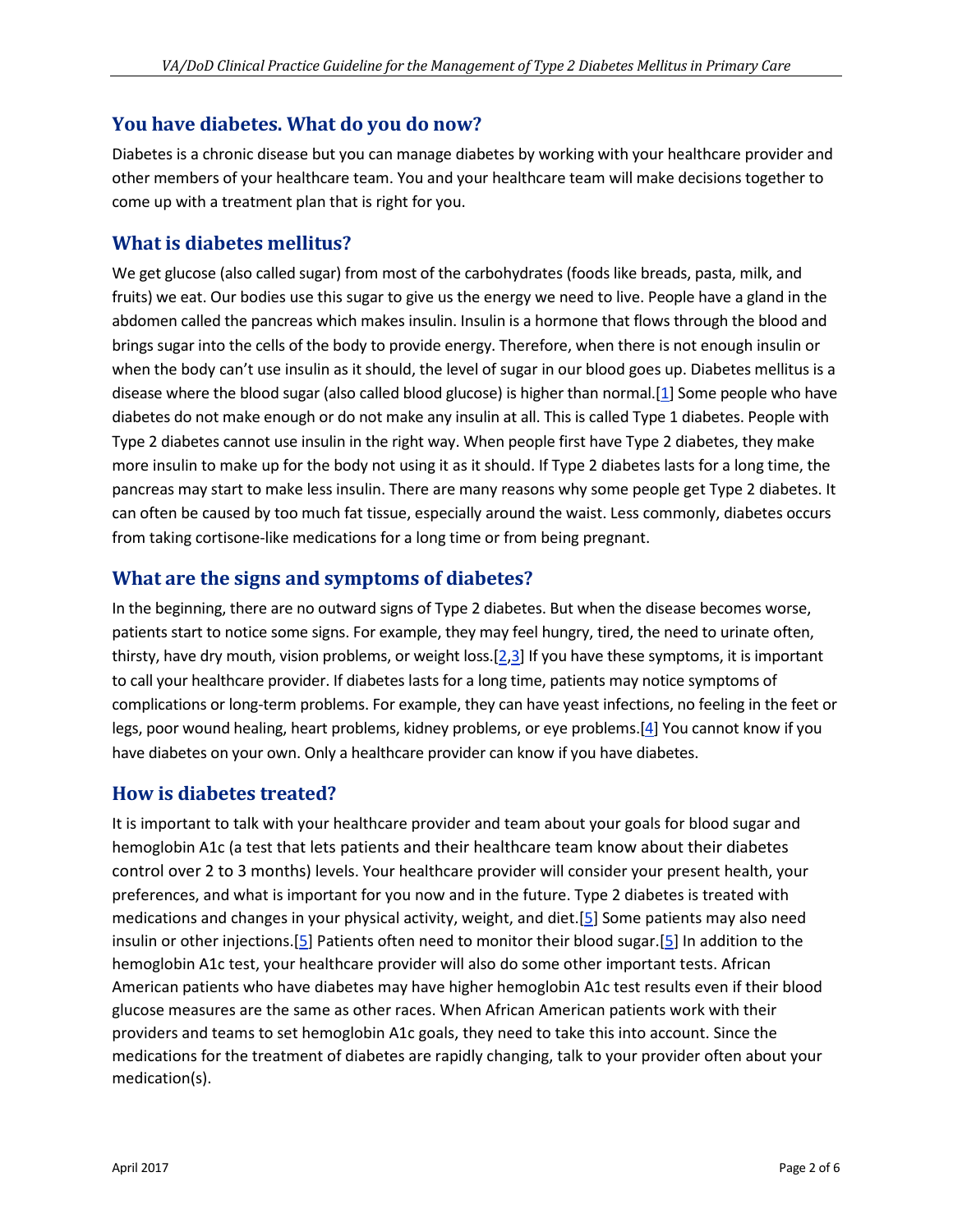### **You have diabetes. What do you do now?**

Diabetes is a chronic disease but you can manage diabetes by working with your healthcare provider and other members of your healthcare team. You and your healthcare team will make decisions together to come up with a treatment plan that is right for you.

# **What is diabetes mellitus?**

We get glucose (also called sugar) from most of the carbohydrates (foods like breads, pasta, milk, and fruits) we eat. Our bodies use this sugar to give us the energy we need to live. People have a gland in the abdomen called the pancreas which makes insulin. Insulin is a hormone that flows through the blood and brings sugar into the cells of the body to provide energy. Therefore, when there is not enough insulin or when the body can't use insulin as it should, the level of sugar in our blood goes up. Diabetes mellitus is a disease where the blood sugar (also called blood glucose) is higher than normal.[\[1\]](#page-5-0) Some people who have diabetes do not make enough or do not make any insulin at all. This is called Type 1 diabetes. People with Type 2 diabetes cannot use insulin in the right way. When people first have Type 2 diabetes, they make more insulin to make up for the body not using it as it should. If Type 2 diabetes lasts for a long time, the pancreas may start to make less insulin. There are many reasons why some people get Type 2 diabetes. It can often be caused by too much fat tissue, especially around the waist. Less commonly, diabetes occurs from taking cortisone-like medications for a long time or from being pregnant.

# **What are the signs and symptoms of diabetes?**

In the beginning, there are no outward signs of Type 2 diabetes. But when the disease becomes worse, patients start to notice some signs. For example, they may feel hungry, tired, the need to urinate often, thirsty, have dry mouth, vision problems, or weight loss.[\[2](#page-5-1)[,3\]](#page-5-2) If you have these symptoms, it is important to call your healthcare provider. If diabetes lasts for a long time, patients may notice symptoms of complications or long-term problems. For example, they can have yeast infections, no feeling in the feet or legs, poor wound healing, heart problems, kidney problems, or eye problems.[\[4\]](#page-5-3) You cannot know if you have diabetes on your own. Only a healthcare provider can know if you have diabetes.

# **How is diabetes treated?**

It is important to talk with your healthcare provider and team about your goals for blood sugar and hemoglobin A1c (a test that lets patients and their healthcare team know about their diabetes control over 2 to 3 months) levels. Your healthcare provider will consider your present health, your preferences, and what is important for you now and in the future. Type 2 diabetes is treated with medications and changes in your physical activity, weight, and diet.[\[5\]](#page-5-4) Some patients may also need insulin or other injections.[\[5\]](#page-5-4) Patients often need to monitor their blood sugar.[\[5\]](#page-5-4) In addition to the hemoglobin A1c test, your healthcare provider will also do some other important tests. African American patients who have diabetes may have higher hemoglobin A1c test results even if their blood glucose measures are the same as other races. When African American patients work with their providers and teams to set hemoglobin A1c goals, they need to take this into account. Since the medications for the treatment of diabetes are rapidly changing, talk to your provider often about your medication(s).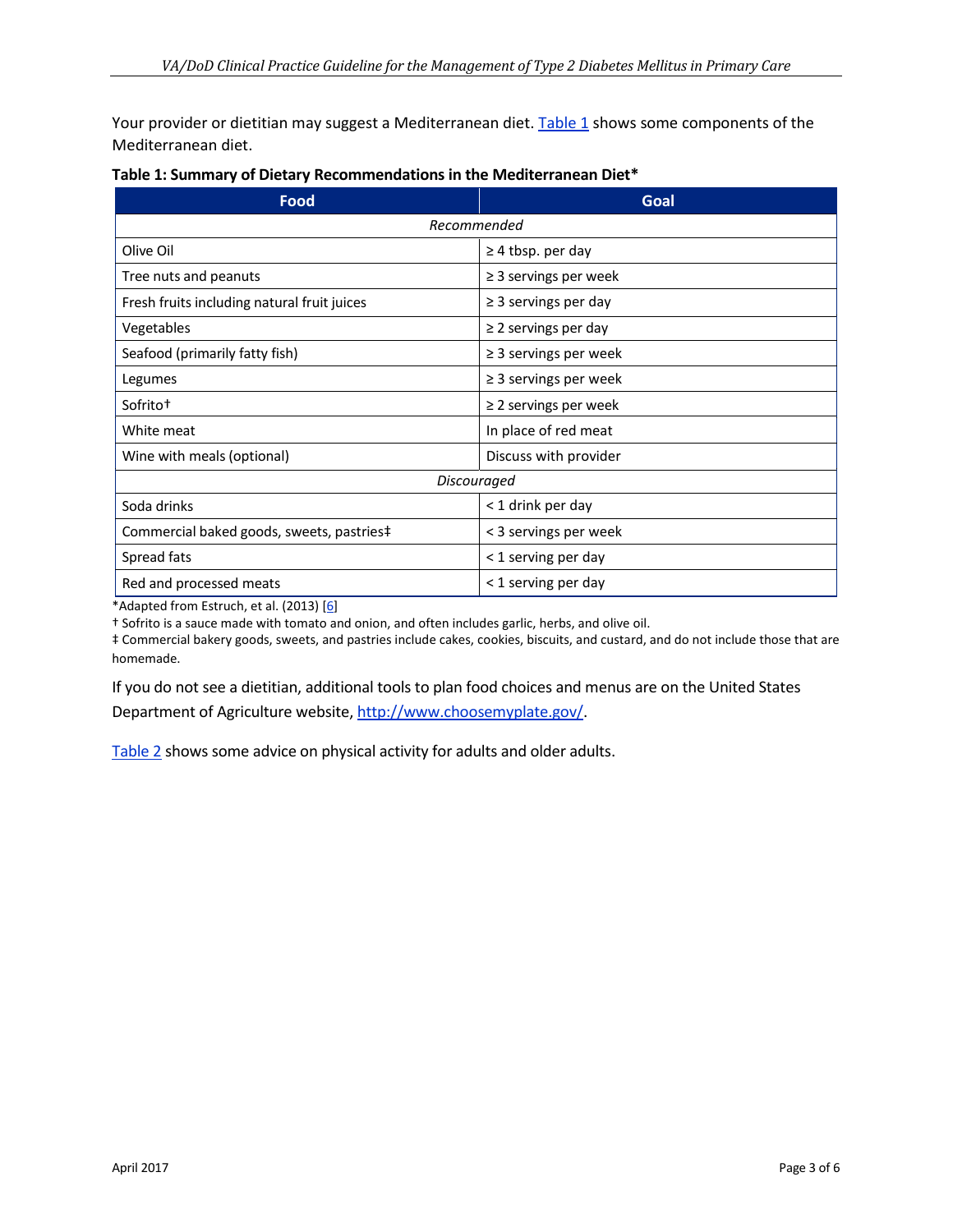Your provider or dietitian may suggest a Mediterranean diet. [Table 1](#page-2-0) shows some components of the Mediterranean diet.

| <b>Food</b>                                 | Goal                       |
|---------------------------------------------|----------------------------|
| Recommended                                 |                            |
| Olive Oil                                   | $\geq$ 4 tbsp. per day     |
| Tree nuts and peanuts                       | $\geq$ 3 servings per week |
| Fresh fruits including natural fruit juices | $\geq$ 3 servings per day  |
| Vegetables                                  | $\geq$ 2 servings per day  |
| Seafood (primarily fatty fish)              | $\geq$ 3 servings per week |
| Legumes                                     | $\geq$ 3 servings per week |
| Sofrito <sup>+</sup>                        | $\geq$ 2 servings per week |
| White meat                                  | In place of red meat       |
| Wine with meals (optional)                  | Discuss with provider      |
| Discouraged                                 |                            |
| Soda drinks                                 | < 1 drink per day          |
| Commercial baked goods, sweets, pastries‡   | < 3 servings per week      |
| Spread fats                                 | < 1 serving per day        |
| Red and processed meats                     | < 1 serving per day        |

<span id="page-2-0"></span>

\*Adapted from Estruch, et al. (2013) [\[6\]](#page-5-5)

† Sofrito is a sauce made with tomato and onion, and often includes garlic, herbs, and olive oil.

‡ Commercial bakery goods, sweets, and pastries include cakes, cookies, biscuits, and custard, and do not include those that are homemade.

If you do not see a dietitian, additional tools to plan food choices and menus are on the United States Department of Agriculture website[, http://www.choosemyplate.gov/.](http://www.choosemyplate.gov/)

[Table 2](#page-3-0) shows some advice on physical activity for adults and older adults.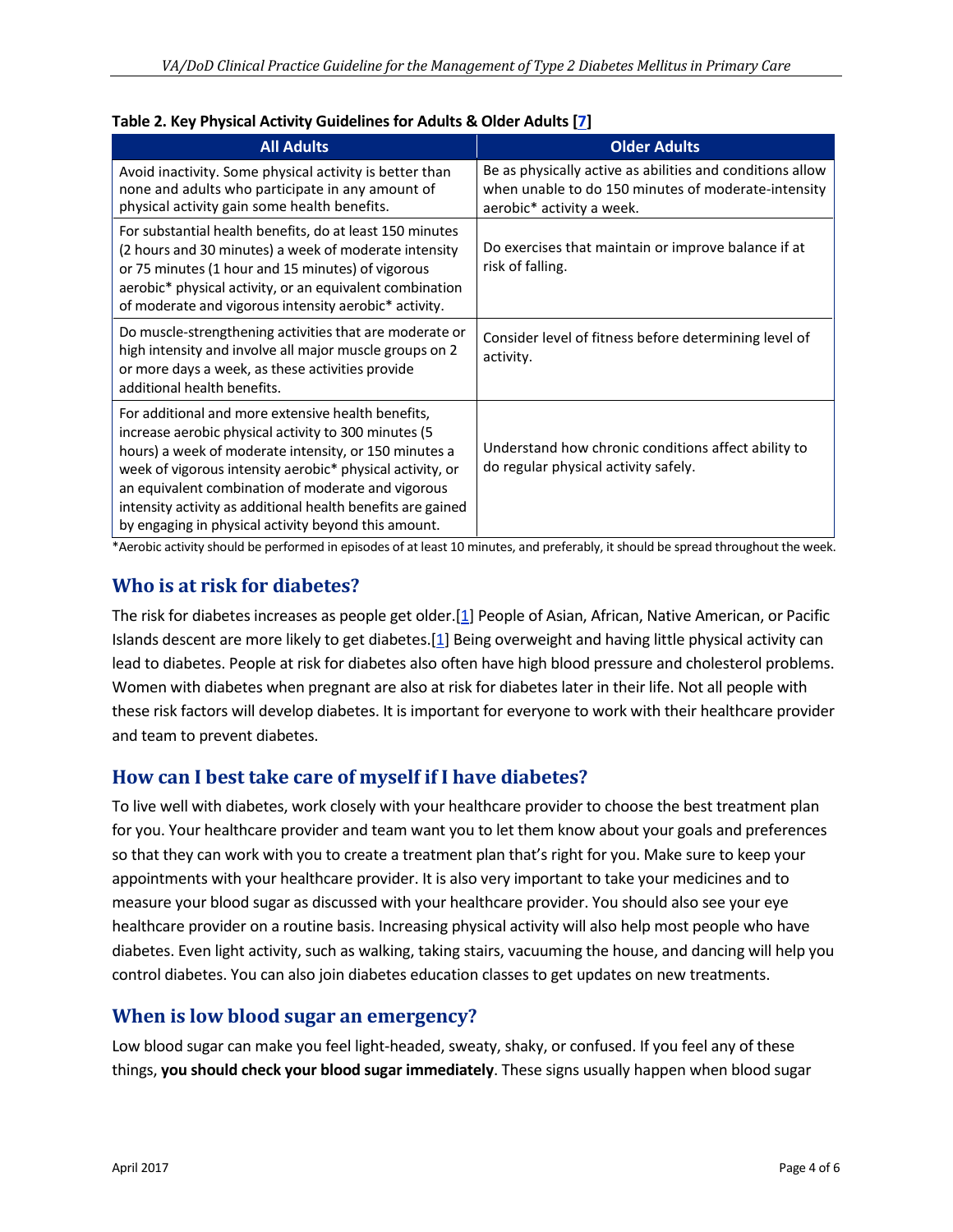| <b>All Adults</b>                                                                                                                                                                                                                                                                                                                                                                                             | <b>Older Adults</b>                                                                                                                           |
|---------------------------------------------------------------------------------------------------------------------------------------------------------------------------------------------------------------------------------------------------------------------------------------------------------------------------------------------------------------------------------------------------------------|-----------------------------------------------------------------------------------------------------------------------------------------------|
| Avoid inactivity. Some physical activity is better than<br>none and adults who participate in any amount of<br>physical activity gain some health benefits.                                                                                                                                                                                                                                                   | Be as physically active as abilities and conditions allow<br>when unable to do 150 minutes of moderate-intensity<br>aerobic* activity a week. |
| For substantial health benefits, do at least 150 minutes<br>(2 hours and 30 minutes) a week of moderate intensity<br>or 75 minutes (1 hour and 15 minutes) of vigorous<br>aerobic* physical activity, or an equivalent combination<br>of moderate and vigorous intensity aerobic* activity.                                                                                                                   | Do exercises that maintain or improve balance if at<br>risk of falling.                                                                       |
| Do muscle-strengthening activities that are moderate or<br>high intensity and involve all major muscle groups on 2<br>or more days a week, as these activities provide<br>additional health benefits.                                                                                                                                                                                                         | Consider level of fitness before determining level of<br>activity.                                                                            |
| For additional and more extensive health benefits,<br>increase aerobic physical activity to 300 minutes (5<br>hours) a week of moderate intensity, or 150 minutes a<br>week of vigorous intensity aerobic* physical activity, or<br>an equivalent combination of moderate and vigorous<br>intensity activity as additional health benefits are gained<br>by engaging in physical activity beyond this amount. | Understand how chronic conditions affect ability to<br>do regular physical activity safely.                                                   |

#### <span id="page-3-0"></span>**Table 2. Key Physical Activity Guidelines for Adults & Older Adults [\[7\]](#page-5-6)**

\*Aerobic activity should be performed in episodes of at least 10 minutes, and preferably, it should be spread throughout the week.

# **Who is at risk for diabetes?**

The risk for diabetes increases as people get older.[\[1\]](#page-5-0) People of Asian, African, Native American, or Pacific Islands descent are more likely to get diabetes.[\[1\]](#page-5-0) Being overweight and having little physical activity can lead to diabetes. People at risk for diabetes also often have high blood pressure and cholesterol problems. Women with diabetes when pregnant are also at risk for diabetes later in their life. Not all people with these risk factors will develop diabetes. It is important for everyone to work with their healthcare provider and team to prevent diabetes.

# **How can I best take care of myself if I have diabetes?**

To live well with diabetes, work closely with your healthcare provider to choose the best treatment plan for you. Your healthcare provider and team want you to let them know about your goals and preferences so that they can work with you to create a treatment plan that's right for you. Make sure to keep your appointments with your healthcare provider. It is also very important to take your medicines and to measure your blood sugar as discussed with your healthcare provider. You should also see your eye healthcare provider on a routine basis. Increasing physical activity will also help most people who have diabetes. Even light activity, such as walking, taking stairs, vacuuming the house, and dancing will help you control diabetes. You can also join diabetes education classes to get updates on new treatments.

# **When is low blood sugar an emergency?**

Low blood sugar can make you feel light-headed, sweaty, shaky, or confused. If you feel any of these things, **you should check your blood sugar immediately**. These signs usually happen when blood sugar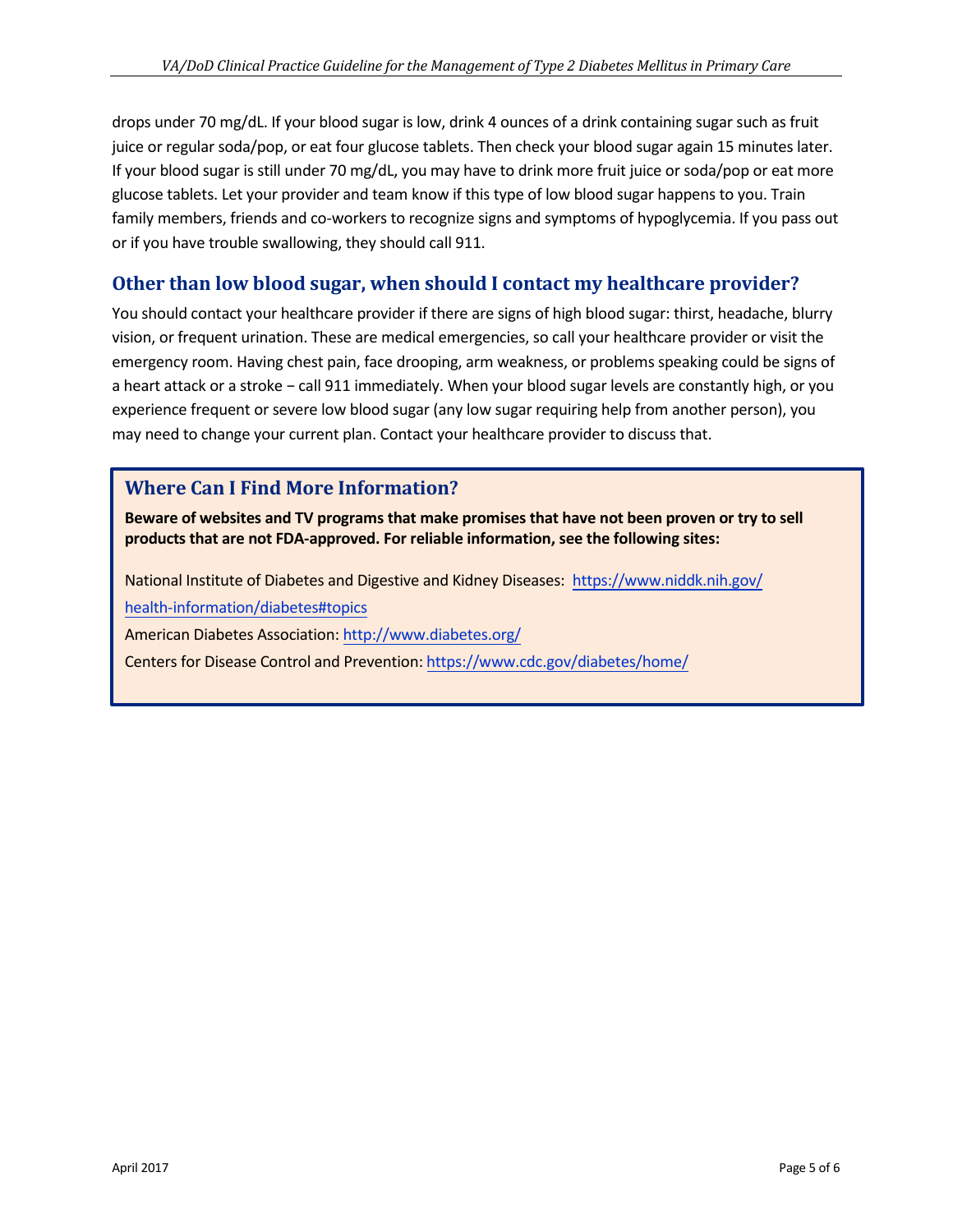drops under 70 mg/dL. If your blood sugar is low, drink 4 ounces of a drink containing sugar such as fruit juice or regular soda/pop, or eat four glucose tablets. Then check your blood sugar again 15 minutes later. If your blood sugar is still under 70 mg/dL, you may have to drink more fruit juice or soda/pop or eat more glucose tablets. Let your provider and team know if this type of low blood sugar happens to you. Train family members, friends and co-workers to recognize signs and symptoms of hypoglycemia. If you pass out or if you have trouble swallowing, they should call 911.

# **Other than low blood sugar, when should I contact my healthcare provider?**

You should contact your healthcare provider if there are signs of high blood sugar: thirst, headache, blurry vision, or frequent urination. These are medical emergencies, so call your healthcare provider or visit the emergency room. Having chest pain, face drooping, arm weakness, or problems speaking could be signs of a heart attack or a stroke − call 911 immediately. When your blood sugar levels are constantly high, or you experience frequent or severe low blood sugar (any low sugar requiring help from another person), you may need to change your current plan. Contact your healthcare provider to discuss that.

# **Where Can I Find More Information?**

**Beware of websites and TV programs that make promises that have not been proven or try to sell products that are not FDA-approved. For reliable information, see the following sites:** 

National Institute of Diabetes and Digestive and Kidney Diseases: [https://www.niddk.nih.gov/](https://www.niddk.nih.gov/health-information/diabetes#topics)

[health-information/diabetes#topics](https://www.niddk.nih.gov/health-information/diabetes#topics)

American Diabetes Association[: http://www.diabetes.org/](http://www.diabetes.org/)

Centers for Disease Control and Prevention: <https://www.cdc.gov/diabetes/home/>